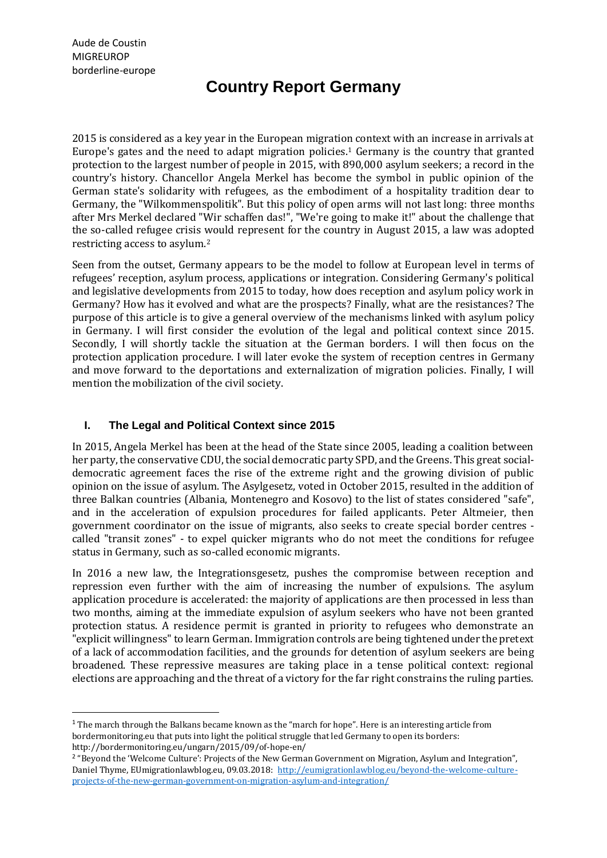l

# **Country Report Germany**

2015 is considered as a key year in the European migration context with an increase in arrivals at Europe's gates and the need to adapt migration policies.<sup>1</sup> Germany is the country that granted protection to the largest number of people in 2015, with 890,000 asylum seekers; a record in the country's history. Chancellor Angela Merkel has become the symbol in public opinion of the German state's solidarity with refugees, as the embodiment of a hospitality tradition dear to Germany, the "Wilkommenspolitik". But this policy of open arms will not last long: three months after Mrs Merkel declared "Wir schaffen das!", "We're going to make it!" about the challenge that the so-called refugee crisis would represent for the country in August 2015, a law was adopted restricting access to asylum.<sup>2</sup>

Seen from the outset, Germany appears to be the model to follow at European level in terms of refugees' reception, asylum process, applications or integration. Considering Germany's political and legislative developments from 2015 to today, how does reception and asylum policy work in Germany? How has it evolved and what are the prospects? Finally, what are the resistances? The purpose of this article is to give a general overview of the mechanisms linked with asylum policy in Germany. I will first consider the evolution of the legal and political context since 2015. Secondly, I will shortly tackle the situation at the German borders. I will then focus on the protection application procedure. I will later evoke the system of reception centres in Germany and move forward to the deportations and externalization of migration policies. Finally, I will mention the mobilization of the civil society.

# **I. The Legal and Political Context since 2015**

In 2015, Angela Merkel has been at the head of the State since 2005, leading a coalition between her party, the conservative CDU, the social democratic party SPD, and the Greens. This great socialdemocratic agreement faces the rise of the extreme right and the growing division of public opinion on the issue of asylum. The Asylgesetz, voted in October 2015, resulted in the addition of three Balkan countries (Albania, Montenegro and Kosovo) to the list of states considered "safe", and in the acceleration of expulsion procedures for failed applicants. Peter Altmeier, then government coordinator on the issue of migrants, also seeks to create special border centres called "transit zones" - to expel quicker migrants who do not meet the conditions for refugee status in Germany, such as so-called economic migrants.

In 2016 a new law, the Integrationsgesetz, pushes the compromise between reception and repression even further with the aim of increasing the number of expulsions. The asylum application procedure is accelerated: the majority of applications are then processed in less than two months, aiming at the immediate expulsion of asylum seekers who have not been granted protection status. A residence permit is granted in priority to refugees who demonstrate an "explicit willingness" to learn German. Immigration controls are being tightened under the pretext of a lack of accommodation facilities, and the grounds for detention of asylum seekers are being broadened. These repressive measures are taking place in a tense political context: regional elections are approaching and the threat of a victory for the far right constrains the ruling parties.

<sup>&</sup>lt;sup>1</sup> The march through the Balkans became known as the "march for hope". Here is an interesting article from bordermonitoring.eu that puts into light the political struggle that led Germany to open its borders: http://bordermonitoring.eu/ungarn/2015/09/of-hope-en/

<sup>&</sup>lt;sup>2</sup> "Beyond the 'Welcome Culture': Projects of the New German Government on Migration, Asylum and Integration", Daniel Thyme, EUmigrationlawblog.eu, 09.03.2018: [http://eumigrationlawblog.eu/beyond-the-welcome-culture](http://eumigrationlawblog.eu/beyond-the-welcome-culture-projects-of-the-new-german-government-on-migration-asylum-and-integration/)[projects-of-the-new-german-government-on-migration-asylum-and-integration/](http://eumigrationlawblog.eu/beyond-the-welcome-culture-projects-of-the-new-german-government-on-migration-asylum-and-integration/)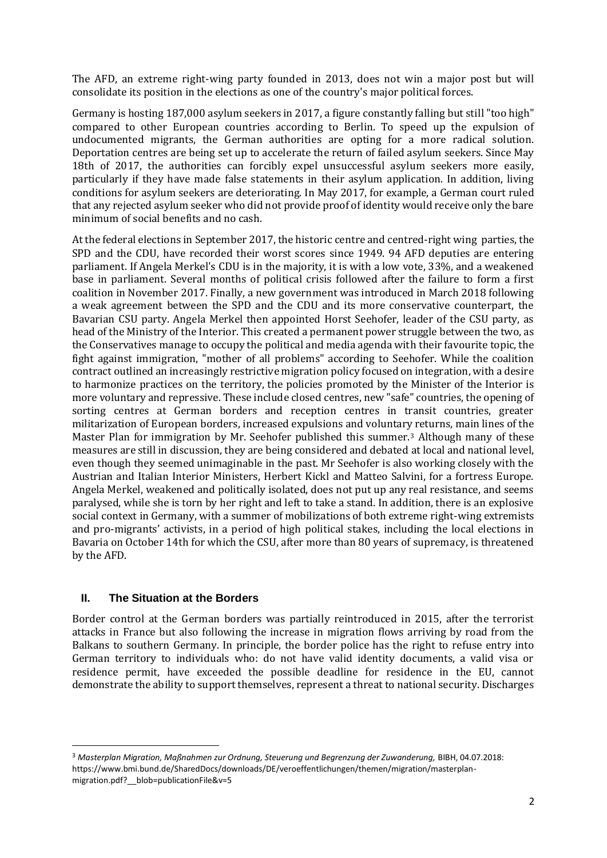The AFD, an extreme right-wing party founded in 2013, does not win a major post but will consolidate its position in the elections as one of the country's major political forces.

Germany is hosting 187,000 asylum seekers in 2017, a figure constantly falling but still "too high" compared to other European countries according to Berlin. To speed up the expulsion of undocumented migrants, the German authorities are opting for a more radical solution. Deportation centres are being set up to accelerate the return of failed asylum seekers. Since May 18th of 2017, the authorities can forcibly expel unsuccessful asylum seekers more easily, particularly if they have made false statements in their asylum application. In addition, living conditions for asylum seekers are deteriorating. In May 2017, for example, a German court ruled that any rejected asylum seeker who did not provide proof of identity would receive only the bare minimum of social benefits and no cash.

At the federal elections in September 2017, the historic centre and centred-right wing parties, the SPD and the CDU, have recorded their worst scores since 1949. 94 AFD deputies are entering parliament. If Angela Merkel's CDU is in the majority, it is with a low vote, 33%, and a weakened base in parliament. Several months of political crisis followed after the failure to form a first coalition in November 2017. Finally, a new government was introduced in March 2018 following a weak agreement between the SPD and the CDU and its more conservative counterpart, the Bavarian CSU party. Angela Merkel then appointed Horst Seehofer, leader of the CSU party, as head of the Ministry of the Interior. This created a permanent power struggle between the two, as the Conservatives manage to occupy the political and media agenda with their favourite topic, the fight against immigration, "mother of all problems" according to Seehofer. While the coalition contract outlined an increasingly restrictive migration policy focused on integration, with a desire to harmonize practices on the territory, the policies promoted by the Minister of the Interior is more voluntary and repressive. These include closed centres, new "safe" countries, the opening of sorting centres at German borders and reception centres in transit countries, greater militarization of European borders, increased expulsions and voluntary returns, main lines of the Master Plan for immigration by Mr. Seehofer published this summer.<sup>3</sup> Although many of these measures are still in discussion, they are being considered and debated at local and national level, even though they seemed unimaginable in the past. Mr Seehofer is also working closely with the Austrian and Italian Interior Ministers, Herbert Kickl and Matteo Salvini, for a fortress Europe. Angela Merkel, weakened and politically isolated, does not put up any real resistance, and seems paralysed, while she is torn by her right and left to take a stand. In addition, there is an explosive social context in Germany, with a summer of mobilizations of both extreme right-wing extremists and pro-migrants' activists, in a period of high political stakes, including the local elections in Bavaria on October 14th for which the CSU, after more than 80 years of supremacy, is threatened by the AFD.

# **II. The Situation at the Borders**

l

Border control at the German borders was partially reintroduced in 2015, after the terrorist attacks in France but also following the increase in migration flows arriving by road from the Balkans to southern Germany. In principle, the border police has the right to refuse entry into German territory to individuals who: do not have valid identity documents, a valid visa or residence permit, have exceeded the possible deadline for residence in the EU, cannot demonstrate the ability to support themselves, represent a threat to national security. Discharges

<sup>&</sup>lt;sup>3</sup> Masterplan Migration, Maßnahmen zur Ordnung, Steuerung und Begrenzung der Zuwanderung, BIBH, 04.07.2018: https://www.bmi.bund.de/SharedDocs/downloads/DE/veroeffentlichungen/themen/migration/masterplanmigration.pdf? blob=publicationFile&v=5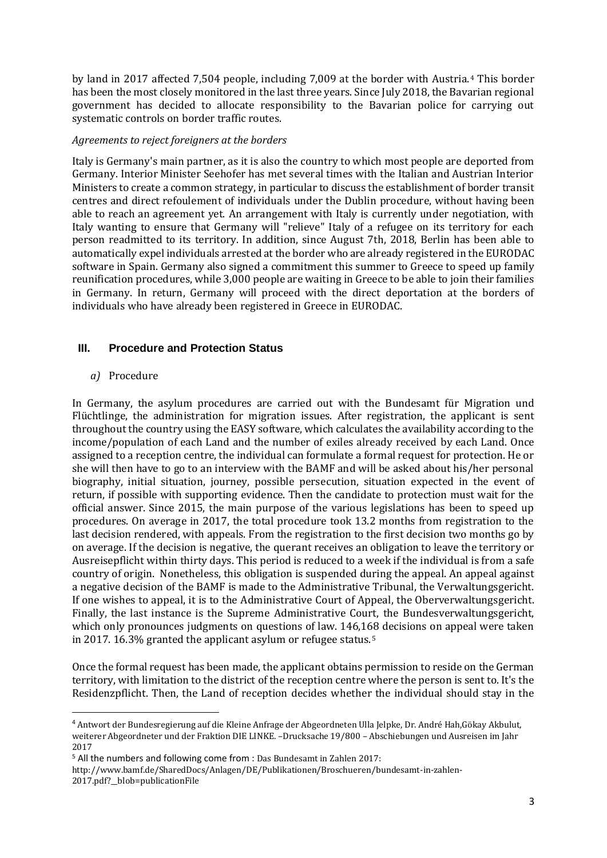by land in 2017 affected 7,504 people, including 7,009 at the border with Austria.<sup>4</sup> This border has been the most closely monitored in the last three years. Since July 2018, the Bavarian regional government has decided to allocate responsibility to the Bavarian police for carrying out systematic controls on border traffic routes.

#### *Agreements to reject foreigners at the borders*

Italy is Germany's main partner, as it is also the country to which most people are deported from Germany. Interior Minister Seehofer has met several times with the Italian and Austrian Interior Ministers to create a common strategy, in particular to discuss the establishment of border transit centres and direct refoulement of individuals under the Dublin procedure, without having been able to reach an agreement yet. An arrangement with Italy is currently under negotiation, with Italy wanting to ensure that Germany will "relieve" Italy of a refugee on its territory for each person readmitted to its territory. In addition, since August 7th, 2018, Berlin has been able to automatically expel individuals arrested at the border who are already registered in the EURODAC software in Spain. Germany also signed a commitment this summer to Greece to speed up family reunification procedures, while 3,000 people are waiting in Greece to be able to join their families in Germany. In return, Germany will proceed with the direct deportation at the borders of individuals who have already been registered in Greece in EURODAC.

#### **III. Procedure and Protection Status**

#### *a)* Procedure

l

In Germany, the asylum procedures are carried out with the Bundesamt für Migration und Flüchtlinge, the administration for migration issues. After registration, the applicant is sent throughout the country using the EASY software, which calculates the availability according to the income/population of each Land and the number of exiles already received by each Land. Once assigned to a reception centre, the individual can formulate a formal request for protection. He or she will then have to go to an interview with the BAMF and will be asked about his/her personal biography, initial situation, journey, possible persecution, situation expected in the event of return, if possible with supporting evidence. Then the candidate to protection must wait for the official answer. Since 2015, the main purpose of the various legislations has been to speed up procedures. On average in 2017, the total procedure took 13.2 months from registration to the last decision rendered, with appeals. From the registration to the first decision two months go by on average. If the decision is negative, the querant receives an obligation to leave the territory or Ausreisepflicht within thirty days. This period is reduced to a week if the individual is from a safe country of origin. Nonetheless, this obligation is suspended during the appeal. An appeal against a negative decision of the BAMF is made to the Administrative Tribunal, the Verwaltungsgericht. If one wishes to appeal, it is to the Administrative Court of Appeal, the Oberverwaltungsgericht. Finally, the last instance is the Supreme Administrative Court, the Bundesverwaltungsgericht, which only pronounces judgments on questions of law. 146,168 decisions on appeal were taken in 2017. 16.3% granted the applicant asylum or refugee status.<sup>5</sup>

Once the formal request has been made, the applicant obtains permission to reside on the German territory, with limitation to the district of the reception centre where the person is sent to. It's the Residenzpflicht. Then, the Land of reception decides whether the individual should stay in the

<sup>4</sup> Antwort der Bundesregierung auf die Kleine Anfrage der Abgeordneten Ulla Jelpke, Dr. André Hah,Gökay Akbulut, weiterer Abgeordneter und der Fraktion DIE LINKE. –Drucksache 19/800 – Abschiebungen und Ausreisen im Jahr 2017

<sup>5</sup> All the numbers and following come from : Das Bundesamt in Zahlen 2017:

http://www.bamf.de/SharedDocs/Anlagen/DE/Publikationen/Broschueren/bundesamt-in-zahlen-2017.pdf?\_\_blob=publicationFile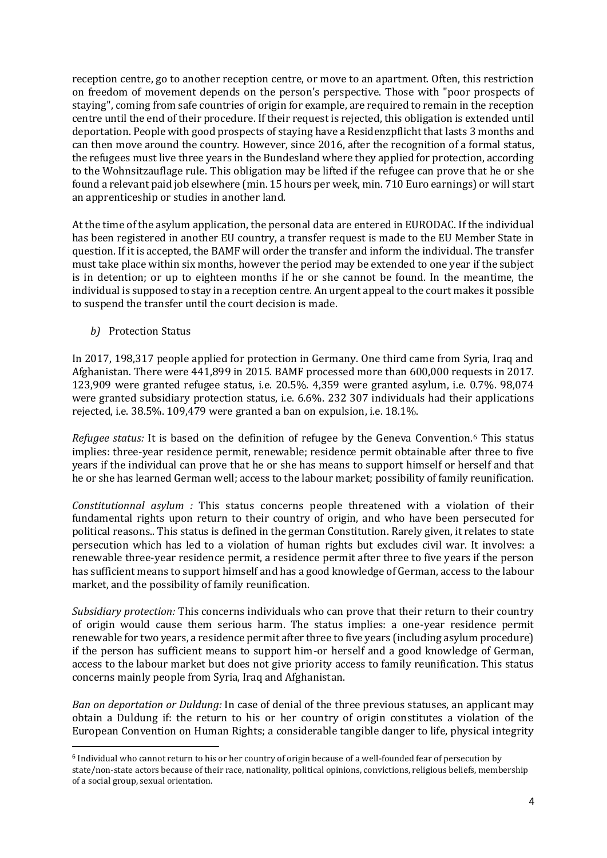reception centre, go to another reception centre, or move to an apartment. Often, this restriction on freedom of movement depends on the person's perspective. Those with "poor prospects of staying", coming from safe countries of origin for example, are required to remain in the reception centre until the end of their procedure. If their request is rejected, this obligation is extended until deportation. People with good prospects of staying have a Residenzpflicht that lasts 3 months and can then move around the country. However, since 2016, after the recognition of a formal status, the refugees must live three years in the Bundesland where they applied for protection, according to the Wohnsitzauflage rule. This obligation may be lifted if the refugee can prove that he or she found a relevant paid job elsewhere (min. 15 hours per week, min. 710 Euro earnings) or will start an apprenticeship or studies in another land.

At the time of the asylum application, the personal data are entered in EURODAC. If the individual has been registered in another EU country, a transfer request is made to the EU Member State in question. If it is accepted, the BAMF will order the transfer and inform the individual. The transfer must take place within six months, however the period may be extended to one year if the subject is in detention; or up to eighteen months if he or she cannot be found. In the meantime, the individual is supposed to stay in a reception centre. An urgent appeal to the court makes it possible to suspend the transfer until the court decision is made.

*b)* Protection Status

l

In 2017, 198,317 people applied for protection in Germany. One third came from Syria, Iraq and Afghanistan. There were 441,899 in 2015. BAMF processed more than 600,000 requests in 2017. 123,909 were granted refugee status, i.e. 20.5%. 4,359 were granted asylum, i.e. 0.7%. 98,074 were granted subsidiary protection status, i.e. 6.6%. 232 307 individuals had their applications rejected, i.e. 38.5%. 109,479 were granted a ban on expulsion, i.e. 18.1%.

*Refugee status:* It is based on the definition of refugee by the Geneva Convention.<sup>6</sup> This status implies: three-year residence permit, renewable; residence permit obtainable after three to five years if the individual can prove that he or she has means to support himself or herself and that he or she has learned German well; access to the labour market; possibility of family reunification.

*Constitutionnal asylum :* This status concerns people threatened with a violation of their fundamental rights upon return to their country of origin, and who have been persecuted for political reasons.. This status is defined in the german Constitution. Rarely given, it relates to state persecution which has led to a violation of human rights but excludes civil war. It involves: a renewable three-year residence permit, a residence permit after three to five years if the person has sufficient means to support himself and has a good knowledge of German, access to the labour market, and the possibility of family reunification.

*Subsidiary protection:* This concerns individuals who can prove that their return to their country of origin would cause them serious harm. The status implies: a one-year residence permit renewable for two years, a residence permit after three to five years (including asylum procedure) if the person has sufficient means to support him-or herself and a good knowledge of German, access to the labour market but does not give priority access to family reunification. This status concerns mainly people from Syria, Iraq and Afghanistan.

*Ban on deportation or Duldung:* In case of denial of the three previous statuses, an applicant may obtain a Duldung if: the return to his or her country of origin constitutes a violation of the European Convention on Human Rights; a considerable tangible danger to life, physical integrity

<sup>&</sup>lt;sup>6</sup> Individual who cannot return to his or her country of origin because of a well-founded fear of persecution by state/non-state actors because of their race, nationality, political opinions, convictions, religious beliefs, membership of a social group, sexual orientation.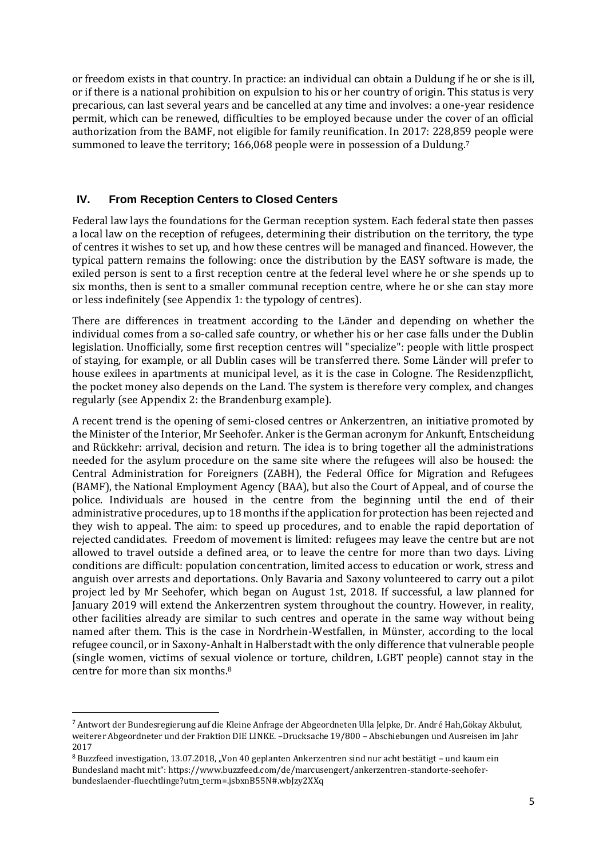or freedom exists in that country. In practice: an individual can obtain a Duldung if he or she is ill, or if there is a national prohibition on expulsion to his or her country of origin. This status is very precarious, can last several years and be cancelled at any time and involves: a one-year residence permit, which can be renewed, difficulties to be employed because under the cover of an official authorization from the BAMF, not eligible for family reunification. In 2017: 228,859 people were summoned to leave the territory; 166,068 people were in possession of a Duldung.<sup>7</sup>

# **IV. From Reception Centers to Closed Centers**

Federal law lays the foundations for the German reception system. Each federal state then passes a local law on the reception of refugees, determining their distribution on the territory, the type of centres it wishes to set up, and how these centres will be managed and financed. However, the typical pattern remains the following: once the distribution by the EASY software is made, the exiled person is sent to a first reception centre at the federal level where he or she spends up to six months, then is sent to a smaller communal reception centre, where he or she can stay more or less indefinitely (see Appendix 1: the typology of centres).

There are differences in treatment according to the Länder and depending on whether the individual comes from a so-called safe country, or whether his or her case falls under the Dublin legislation. Unofficially, some first reception centres will "specialize": people with little prospect of staying, for example, or all Dublin cases will be transferred there. Some Länder will prefer to house exilees in apartments at municipal level, as it is the case in Cologne. The Residenzpflicht, the pocket money also depends on the Land. The system is therefore very complex, and changes regularly (see Appendix 2: the Brandenburg example).

A recent trend is the opening of semi-closed centres or Ankerzentren, an initiative promoted by the Minister of the Interior, Mr Seehofer. Anker is the German acronym for Ankunft, Entscheidung and Rückkehr: arrival, decision and return. The idea is to bring together all the administrations needed for the asylum procedure on the same site where the refugees will also be housed: the Central Administration for Foreigners (ZABH), the Federal Office for Migration and Refugees (BAMF), the National Employment Agency (BAA), but also the Court of Appeal, and of course the police. Individuals are housed in the centre from the beginning until the end of their administrative procedures, up to 18 months if the application for protection has been rejected and they wish to appeal. The aim: to speed up procedures, and to enable the rapid deportation of rejected candidates. Freedom of movement is limited: refugees may leave the centre but are not allowed to travel outside a defined area, or to leave the centre for more than two days. Living conditions are difficult: population concentration, limited access to education or work, stress and anguish over arrests and deportations. Only Bavaria and Saxony volunteered to carry out a pilot project led by Mr Seehofer, which began on August 1st, 2018. If successful, a law planned for January 2019 will extend the Ankerzentren system throughout the country. However, in reality, other facilities already are similar to such centres and operate in the same way without being named after them. This is the case in Nordrhein-Westfallen, in Münster, according to the local refugee council, or in Saxony-Anhalt in Halberstadt with the only difference that vulnerable people (single women, victims of sexual violence or torture, children, LGBT people) cannot stay in the centre for more than six months.<sup>8</sup>

l

<sup>7</sup> Antwort der Bundesregierung auf die Kleine Anfrage der Abgeordneten Ulla Jelpke, Dr. André Hah,Gökay Akbulut, weiterer Abgeordneter und der Fraktion DIE LINKE. –Drucksache 19/800 – Abschiebungen und Ausreisen im Jahr 2017

<sup>8</sup> Buzzfeed investigation, 13.07.2018, "Von 40 geplanten Ankerzentren sind nur acht bestätigt – und kaum ein Bundesland macht mit": https://www.buzzfeed.com/de/marcusengert/ankerzentren-standorte-seehoferbundeslaender-fluechtlinge?utm\_term=.jsbxnB55N#.wbJzy2XXq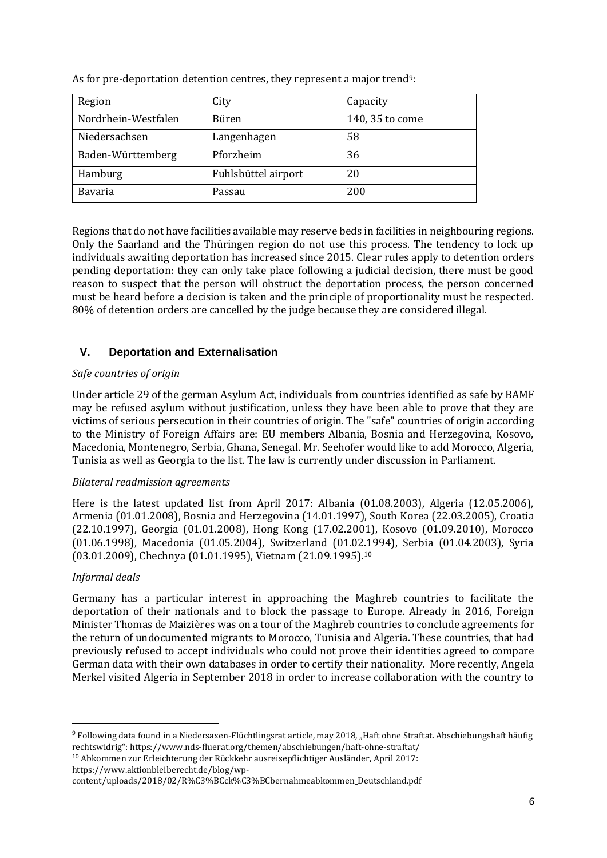| Region              | City                | Capacity        |
|---------------------|---------------------|-----------------|
| Nordrhein-Westfalen | Büren               | 140, 35 to come |
| Niedersachsen       | Langenhagen         | 58              |
| Baden-Württemberg   | Pforzheim           | 36              |
| Hamburg             | Fuhlsbüttel airport | 20              |
| <b>Bavaria</b>      | Passau              | 200             |

As for pre-deportation detention centres, they represent a major trend<sup>9</sup>:

Regions that do not have facilities available may reserve beds in facilities in neighbouring regions. Only the Saarland and the Thüringen region do not use this process. The tendency to lock up individuals awaiting deportation has increased since 2015. Clear rules apply to detention orders pending deportation: they can only take place following a judicial decision, there must be good reason to suspect that the person will obstruct the deportation process, the person concerned must be heard before a decision is taken and the principle of proportionality must be respected. 80% of detention orders are cancelled by the judge because they are considered illegal.

# **V. Deportation and Externalisation**

## *Safe countries of origin*

Under article 29 of the german Asylum Act, individuals from countries identified as safe by BAMF may be refused asylum without justification, unless they have been able to prove that they are victims of serious persecution in their countries of origin. The "safe" countries of origin according to the Ministry of Foreign Affairs are: EU members Albania, Bosnia and Herzegovina, Kosovo, Macedonia, Montenegro, Serbia, Ghana, Senegal. Mr. Seehofer would like to add Morocco, Algeria, Tunisia as well as Georgia to the list. The law is currently under discussion in Parliament.

#### *Bilateral readmission agreements*

Here is the latest updated list from April 2017: Albania (01.08.2003), Algeria (12.05.2006), Armenia (01.01.2008), Bosnia and Herzegovina (14.01.1997), South Korea (22.03.2005), Croatia (22.10.1997), Georgia (01.01.2008), Hong Kong (17.02.2001), Kosovo (01.09.2010), Morocco (01.06.1998), Macedonia (01.05.2004), Switzerland (01.02.1994), Serbia (01.04.2003), Syria (03.01.2009), Chechnya (01.01.1995), Vietnam (21.09.1995).<sup>10</sup>

# *Informal deals*

l

Germany has a particular interest in approaching the Maghreb countries to facilitate the deportation of their nationals and to block the passage to Europe. Already in 2016, Foreign Minister Thomas de Maizières was on a tour of the Maghreb countries to conclude agreements for the return of undocumented migrants to Morocco, Tunisia and Algeria. These countries, that had previously refused to accept individuals who could not prove their identities agreed to compare German data with their own databases in order to certify their nationality. More recently, Angela Merkel visited Algeria in September 2018 in order to increase collaboration with the country to

<sup>9</sup> Following data found in a Niedersaxen-Flüchtlingsrat article, may 2018, "Haft ohne Straftat. Abschiebungshaft häufig rechtswidrig": https://www.nds-fluerat.org/themen/abschiebungen/haft-ohne-straftat/

<sup>10</sup> Abkommen zur Erleichterung der Rückkehr ausreisepflichtiger Ausländer, April 2017: https://www.aktionbleiberecht.de/blog/wp-

content/uploads/2018/02/R%C3%BCck%C3%BCbernahmeabkommen\_Deutschland.pdf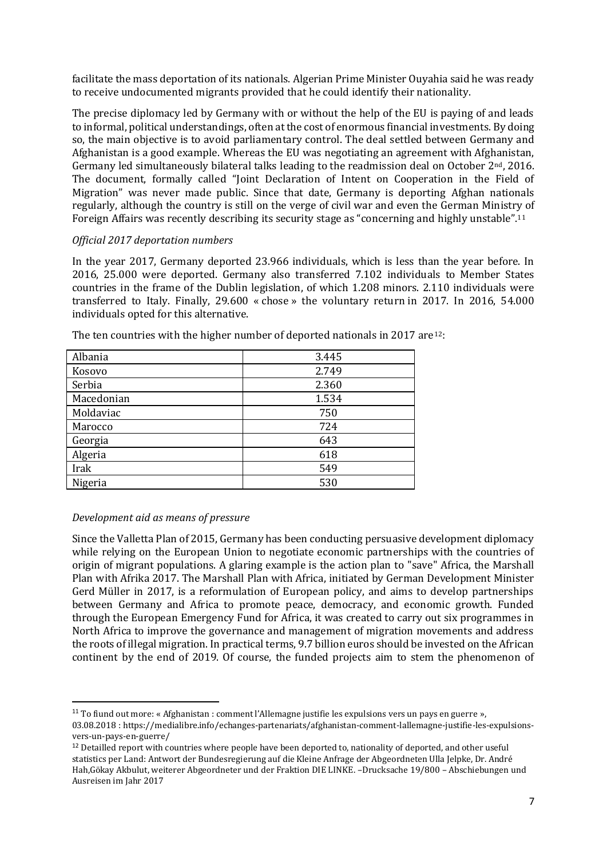facilitate the mass deportation of its nationals. Algerian Prime Minister Ouyahia said he was ready to receive undocumented migrants provided that he could identify their nationality.

The precise diplomacy led by Germany with or without the help of the EU is paying of and leads to informal, political understandings, often at the cost of enormous financial investments. By doing so, the main objective is to avoid parliamentary control. The deal settled between Germany and Afghanistan is a good example. Whereas the EU was negotiating an agreement with Afghanistan, Germany led simultaneously bilateral talks leading to the readmission deal on October 2nd, 2016. The document, formally called "Joint Declaration of Intent on Cooperation in the Field of Migration" was never made public. Since that date, Germany is deporting Afghan nationals regularly, although the country is still on the verge of civil war and even the German Ministry of Foreign Affairs was recently describing its security stage as "concerning and highly unstable".<sup>11</sup>

#### *Official 2017 deportation numbers*

In the year 2017, Germany deported 23.966 individuals, which is less than the year before. In 2016, 25.000 were deported. Germany also transferred 7.102 individuals to Member States countries in the frame of the Dublin legislation, of which 1.208 minors. 2.110 individuals were transferred to Italy. Finally, 29.600 « chose » the voluntary return in 2017. In 2016, 54.000 individuals opted for this alternative.

| Albania    | 3.445 |
|------------|-------|
| Kosovo     | 2.749 |
| Serbia     | 2.360 |
| Macedonian | 1.534 |
| Moldaviac  | 750   |
| Marocco    | 724   |
| Georgia    | 643   |
| Algeria    | 618   |
| Irak       | 549   |
| Nigeria    | 530   |

The ten countries with the higher number of deported nationals in 2017 are<sup>12</sup>:

#### *Development aid as means of pressure*

l

Since the Valletta Plan of 2015, Germany has been conducting persuasive development diplomacy while relying on the European Union to negotiate economic partnerships with the countries of origin of migrant populations. A glaring example is the action plan to "save" Africa, the Marshall Plan with Afrika 2017. The Marshall Plan with Africa, initiated by German Development Minister Gerd Müller in 2017, is a reformulation of European policy, and aims to develop partnerships between Germany and Africa to promote peace, democracy, and economic growth. Funded through the European Emergency Fund for Africa, it was created to carry out six programmes in North Africa to improve the governance and management of migration movements and address the roots of illegal migration. In practical terms, 9.7 billion euros should be invested on the African continent by the end of 2019. Of course, the funded projects aim to stem the phenomenon of

<sup>11</sup> To fiund out more: « Afghanistan : comment l'Allemagne justifie les expulsions vers un pays en guerre », 03.08.2018 : https://medialibre.info/echanges-partenariats/afghanistan-comment-lallemagne-justifie-les-expulsionsvers-un-pays-en-guerre/

<sup>&</sup>lt;sup>12</sup> Detailled report with countries where people have been deported to, nationality of deported, and other useful statistics per Land: Antwort der Bundesregierung auf die Kleine Anfrage der Abgeordneten Ulla Jelpke, Dr. André Hah,Gökay Akbulut, weiterer Abgeordneter und der Fraktion DIE LINKE. –Drucksache 19/800 – Abschiebungen und Ausreisen im Jahr 2017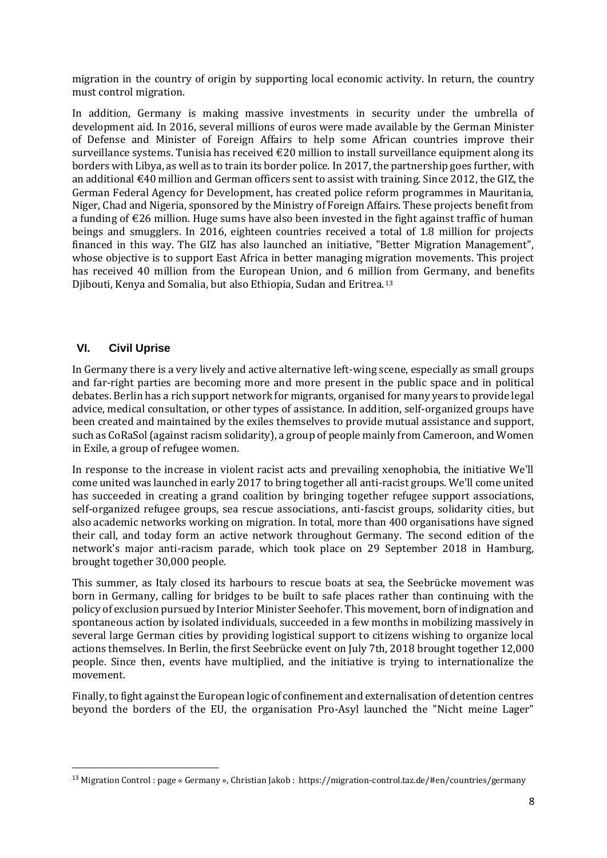migration in the country of origin by supporting local economic activity. In return, the country must control migration.

In addition, Germany is making massive investments in security under the umbrella of development aid. In 2016, several millions of euros were made available by the German Minister of Defense and Minister of Foreign Affairs to help some African countries improve their surveillance systems. Tunisia has received  $\epsilon$ 20 million to install surveillance equipment along its borders with Libya, as well as to train its border police. In 2017, the partnership goes further, with an additional  $\epsilon$ 40 million and German officers sent to assist with training. Since 2012, the GIZ, the German Federal Agency for Development, has created police reform programmes in Mauritania, Niger, Chad and Nigeria, sponsored by the Ministry of Foreign Affairs. These projects benefit from a funding of €26 million. Huge sums have also been invested in the fight against traffic of human beings and smugglers. In 2016, eighteen countries received a total of 1.8 million for projects financed in this way. The GIZ has also launched an initiative, "Better Migration Management", whose objective is to support East Africa in better managing migration movements. This project has received 40 million from the European Union, and 6 million from Germany, and benefits Djibouti, Kenya and Somalia, but also Ethiopia, Sudan and Eritrea.<sup>13</sup>

## **VI. Civil Uprise**

l

In Germany there is a very lively and active alternative left-wing scene, especially as small groups and far-right parties are becoming more and more present in the public space and in political debates. Berlin has a rich support network for migrants, organised for many years to provide legal advice, medical consultation, or other types of assistance. In addition, self-organized groups have been created and maintained by the exiles themselves to provide mutual assistance and support, such as CoRaSol (against racism solidarity), a group of people mainly from Cameroon, and Women in Exile, a group of refugee women.

In response to the increase in violent racist acts and prevailing xenophobia, the initiative We'll come united was launched in early 2017 to bring together all anti-racist groups. We'll come united has succeeded in creating a grand coalition by bringing together refugee support associations, self-organized refugee groups, sea rescue associations, anti-fascist groups, solidarity cities, but also academic networks working on migration. In total, more than 400 organisations have signed their call, and today form an active network throughout Germany. The second edition of the network's major anti-racism parade, which took place on 29 September 2018 in Hamburg, brought together 30,000 people.

This summer, as Italy closed its harbours to rescue boats at sea, the Seebrücke movement was born in Germany, calling for bridges to be built to safe places rather than continuing with the policy of exclusion pursued by Interior Minister Seehofer. This movement, born of indignation and spontaneous action by isolated individuals, succeeded in a few months in mobilizing massively in several large German cities by providing logistical support to citizens wishing to organize local actions themselves. In Berlin, the first Seebrücke event on July 7th, 2018 brought together 12,000 people. Since then, events have multiplied, and the initiative is trying to internationalize the movement.

Finally, to fight against the European logic of confinement and externalisation of detention centres beyond the borders of the EU, the organisation Pro-Asyl launched the "Nicht meine Lager"

<sup>13</sup> Migration Control : page « Germany », Christian Jakob : https://migration-control.taz.de/#en/countries/germany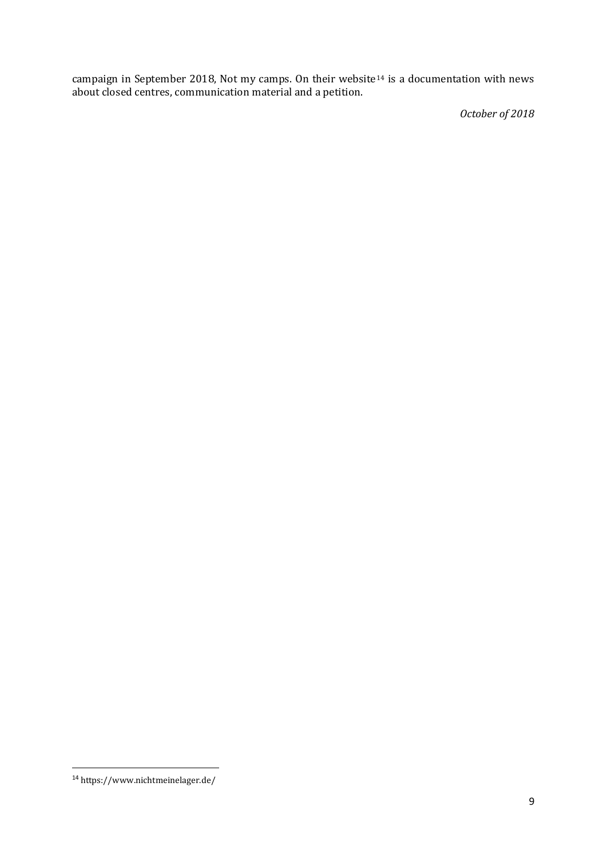campaign in September 2018, Not my camps. On their website<sup>14</sup> is a documentation with news about closed centres, communication material and a petition.

*October of 2018*

l

<sup>14</sup> https://www.nichtmeinelager.de/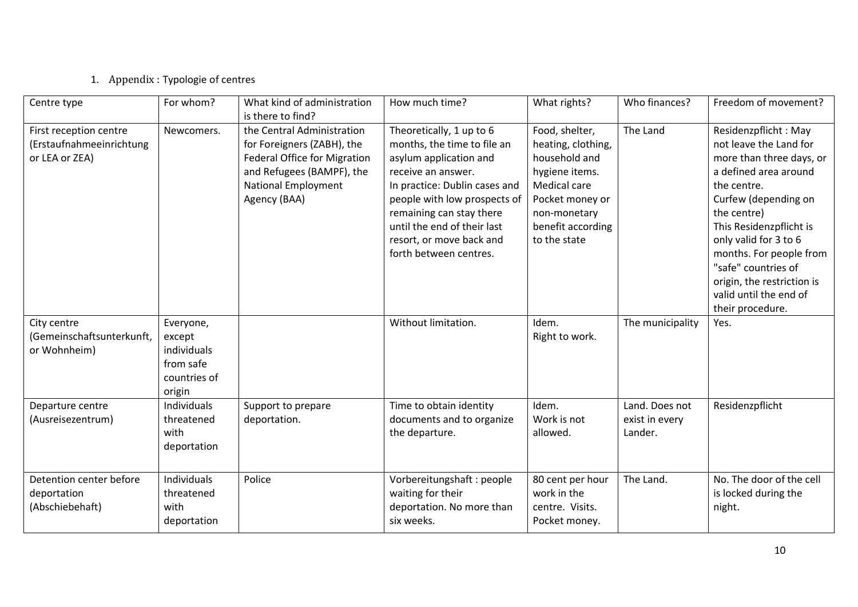# 1. Appendix : Typologie of centres

| Centre type                                                          | For whom?                                                                 | What kind of administration<br>is there to find?                                                                                                                           | How much time?                                                                                                                                                                                                                                                                            | What rights?                                                                                                                                                    | Who finances?                               | Freedom of movement?                                                                                                                                                                                                                                                                                                                        |
|----------------------------------------------------------------------|---------------------------------------------------------------------------|----------------------------------------------------------------------------------------------------------------------------------------------------------------------------|-------------------------------------------------------------------------------------------------------------------------------------------------------------------------------------------------------------------------------------------------------------------------------------------|-----------------------------------------------------------------------------------------------------------------------------------------------------------------|---------------------------------------------|---------------------------------------------------------------------------------------------------------------------------------------------------------------------------------------------------------------------------------------------------------------------------------------------------------------------------------------------|
| First reception centre<br>(Erstaufnahmeeinrichtung<br>or LEA or ZEA) | Newcomers.                                                                | the Central Administration<br>for Foreigners (ZABH), the<br><b>Federal Office for Migration</b><br>and Refugees (BAMPF), the<br><b>National Employment</b><br>Agency (BAA) | Theoretically, 1 up to 6<br>months, the time to file an<br>asylum application and<br>receive an answer.<br>In practice: Dublin cases and<br>people with low prospects of<br>remaining can stay there<br>until the end of their last<br>resort, or move back and<br>forth between centres. | Food, shelter,<br>heating, clothing,<br>household and<br>hygiene items.<br>Medical care<br>Pocket money or<br>non-monetary<br>benefit according<br>to the state | The Land                                    | Residenzpflicht: May<br>not leave the Land for<br>more than three days, or<br>a defined area around<br>the centre.<br>Curfew (depending on<br>the centre)<br>This Residenzpflicht is<br>only valid for 3 to 6<br>months. For people from<br>"safe" countries of<br>origin, the restriction is<br>valid until the end of<br>their procedure. |
| City centre<br>(Gemeinschaftsunterkunft,<br>or Wohnheim)             | Everyone,<br>except<br>individuals<br>from safe<br>countries of<br>origin |                                                                                                                                                                            | Without limitation.                                                                                                                                                                                                                                                                       | Idem.<br>Right to work.                                                                                                                                         | The municipality                            | Yes.                                                                                                                                                                                                                                                                                                                                        |
| Departure centre<br>(Ausreisezentrum)                                | Individuals<br>threatened<br>with<br>deportation                          | Support to prepare<br>deportation.                                                                                                                                         | Time to obtain identity<br>documents and to organize<br>the departure.                                                                                                                                                                                                                    | Idem.<br>Work is not<br>allowed.                                                                                                                                | Land. Does not<br>exist in every<br>Lander. | Residenzpflicht                                                                                                                                                                                                                                                                                                                             |
| Detention center before<br>deportation<br>(Abschiebehaft)            | <b>Individuals</b><br>threatened<br>with<br>deportation                   | Police                                                                                                                                                                     | Vorbereitungshaft: people<br>waiting for their<br>deportation. No more than<br>six weeks.                                                                                                                                                                                                 | 80 cent per hour<br>work in the<br>centre. Visits.<br>Pocket money.                                                                                             | The Land.                                   | No. The door of the cell<br>is locked during the<br>night.                                                                                                                                                                                                                                                                                  |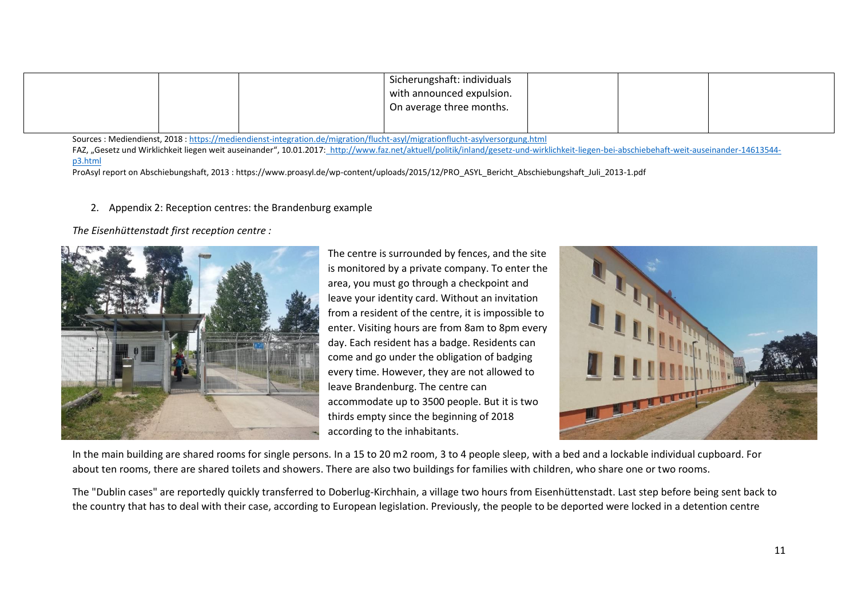|  | Sicherungshaft: individuals<br>with announced expulsion. |  |  |
|--|----------------------------------------------------------|--|--|
|  | On average three months.                                 |  |  |
|  |                                                          |  |  |

Sources : Mediendienst, 2018 [: https://mediendienst-integration.de/migration/flucht-asyl/migrationflucht-asylversorgung.html](https://mediendienst-integration.de/migration/flucht-asyl/migrationflucht-asylversorgung.html)

FAZ, "Gesetz und Wirklichkeit liegen weit auseinander", 10.01.2017: [http://www.faz.net/aktuell/politik/inland/gesetz-und-wirklichkeit-liegen-bei-abschiebehaft-weit-auseinander-14613544](http://www.faz.net/aktuell/politik/inland/gesetz-und-wirklichkeit-liegen-bei-abschiebehaft-weit-auseinander-14613544-p3.html) [p3.html](http://www.faz.net/aktuell/politik/inland/gesetz-und-wirklichkeit-liegen-bei-abschiebehaft-weit-auseinander-14613544-p3.html)

ProAsyl report on Abschiebungshaft, 2013 : https://www.proasyl.de/wp-content/uploads/2015/12/PRO\_ASYL\_Bericht\_Abschiebungshaft\_Juli\_2013-1.pdf

#### 2. Appendix 2: Reception centres: the Brandenburg example

*The Eisenhüttenstadt first reception centre :* 



The centre is surrounded by fences, and the site is monitored by a private company. To enter the area, you must go through a checkpoint and leave your identity card. Without an invitation from a resident of the centre, it is impossible to enter. Visiting hours are from 8am to 8pm every day. Each resident has a badge. Residents can come and go under the obligation of badging every time. However, they are not allowed to leave Brandenburg. The centre can accommodate up to 3500 people. But it is two thirds empty since the beginning of 2018 according to the inhabitants.



In the main building are shared rooms for single persons. In a 15 to 20 m2 room, 3 to 4 people sleep, with a bed and a lockable individual cupboard. For about ten rooms, there are shared toilets and showers. There are also two buildings for families with children, who share one or two rooms.

The "Dublin cases" are reportedly quickly transferred to Doberlug-Kirchhain, a village two hours from Eisenhüttenstadt. Last step before being sent back to the country that has to deal with their case, according to European legislation. Previously, the people to be deported were locked in a detention centre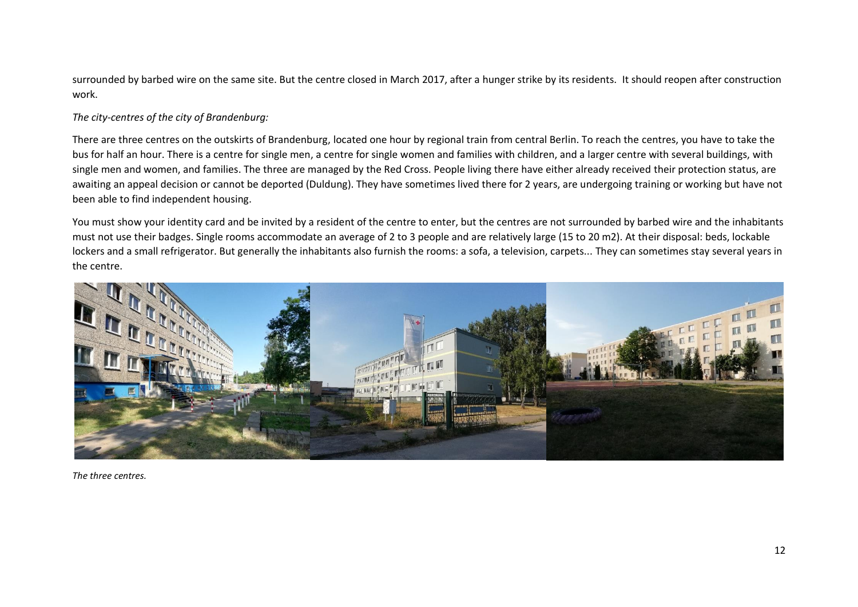surrounded by barbed wire on the same site. But the centre closed in March 2017, after a hunger strike by its residents. It should reopen after construction work.

#### *The city-centres of the city of Brandenburg:*

There are three centres on the outskirts of Brandenburg, located one hour by regional train from central Berlin. To reach the centres, you have to take the bus for half an hour. There is a centre for single men, a centre for single women and families with children, and a larger centre with several buildings, with single men and women, and families. The three are managed by the Red Cross. People living there have either already received their protection status, are awaiting an appeal decision or cannot be deported (Duldung). They have sometimes lived there for 2 years, are undergoing training or working but have not been able to find independent housing.

You must show your identity card and be invited by a resident of the centre to enter, but the centres are not surrounded by barbed wire and the inhabitants must not use their badges. Single rooms accommodate an average of 2 to 3 people and are relatively large (15 to 20 m2). At their disposal: beds, lockable lockers and a small refrigerator. But generally the inhabitants also furnish the rooms: a sofa, a television, carpets... They can sometimes stay several years in the centre.



*The three centres.*